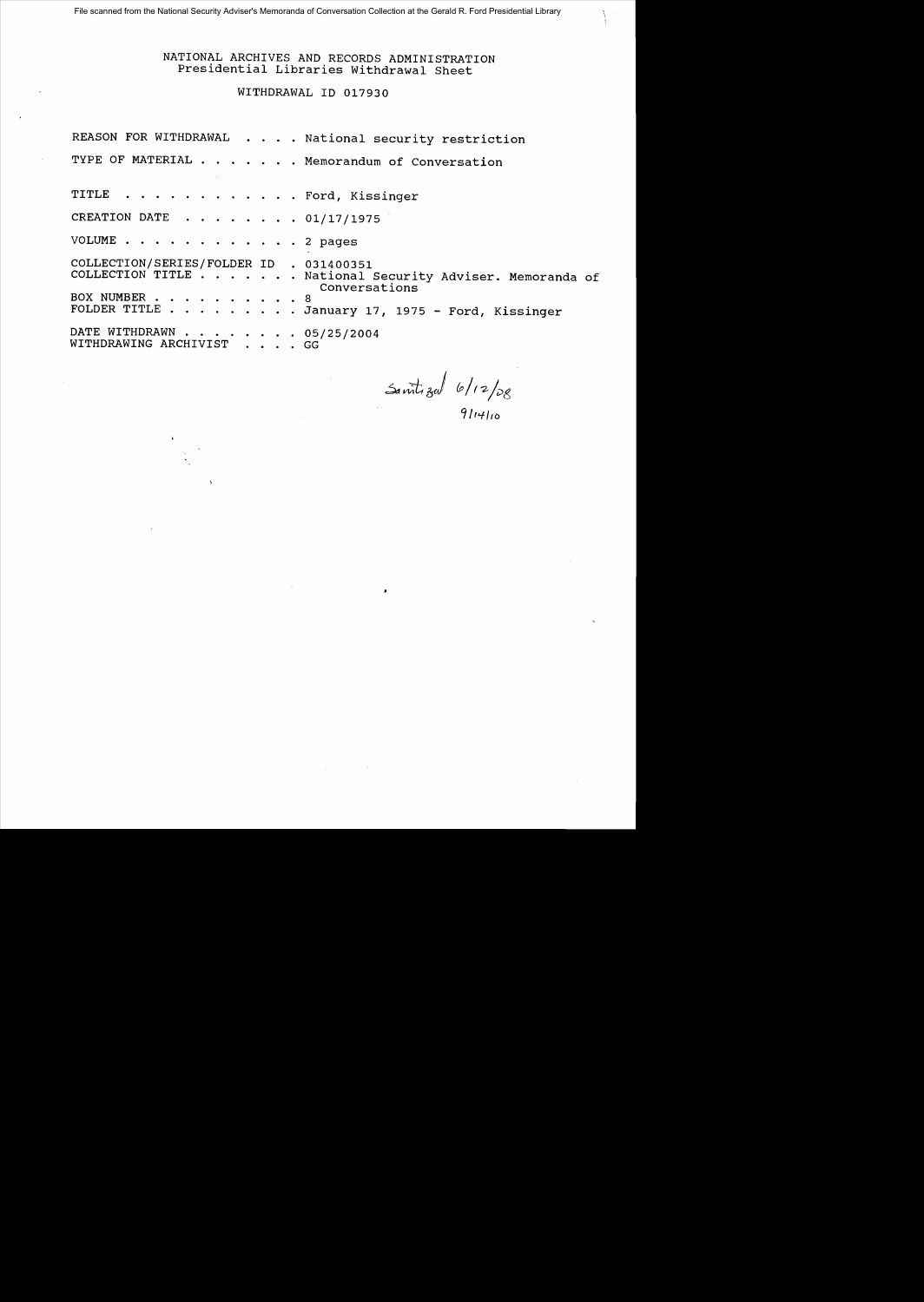NATIONAL ARCHIVES AND RECORDS ADMINISTRATION Presidential Libraries withdrawal Sheet

WITHDRAWAL ID 017930

REASON FOR WITHDRAWAL . . . . National security restriction TYPE OF MATERIAL . . . . . . Memorandum of Conversation TITLE . . . . . . . . . . . . Ford, Kissinger CREATION DATE  $\ldots$ ,  $\ldots$ , 01/17/1975 VOLUME . . . . . . . . . . . . 2 pages COLLECTION/SERIES/FOLDER ID . 031400351<br>COLLECTION TITLE . . . . . . . National . National Security Adviser. Memoranda of Conversations BOX NUMBER . . . . . . . . . . 8<br>FOLDER TITLE . . . . . . . . . J  $\cdots$  . . January 17, 1975 - Ford, Kissinger DATE WITHDRAWN . . . .<br>WITHDRAWING ARCHIVIST  $\cdot \cdot \cdot 05/25/2004$ GG

~--t *J &/1'2-/"'t,* 

9/14/10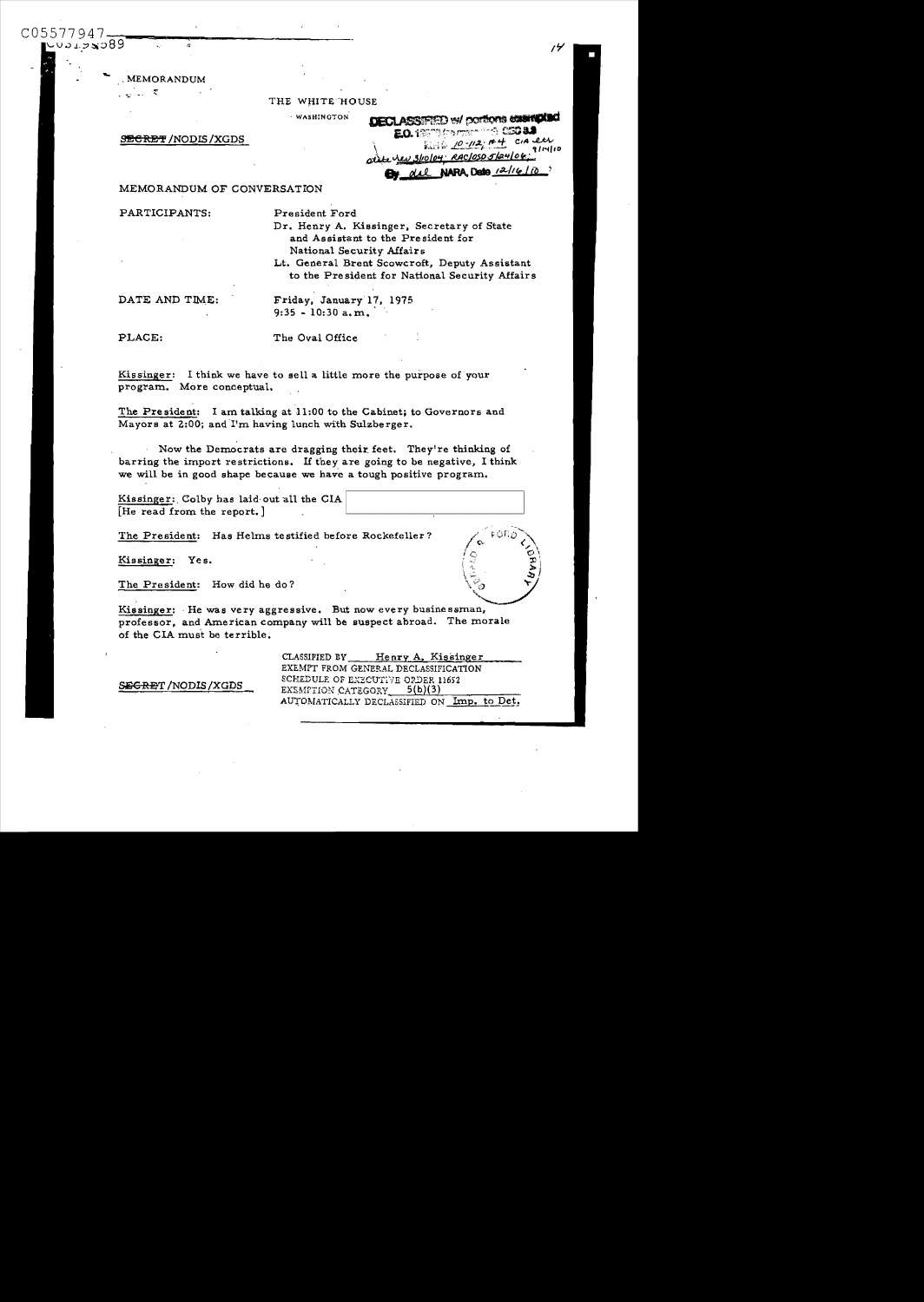. MEMORANDUM

 $\omega \in \mathfrak{D}$ 

C05577947

งจะขรอ89

THE WHITE HOUSE

WASHINGTON

**SECRET /NODIS /XGDS** 

| <b>DECLASSIFIED W/ DORTONS CONTROLSO</b>       |  |
|------------------------------------------------|--|
| EO.18974 framer and CSC 8.3                    |  |
| ality 10-112; net cia eti                      |  |
|                                                |  |
| <b>By del NARA, Deto</b> 12/16/10 <sup>2</sup> |  |

## MEMORANDUM OF CONVERSATION

PARTICIPANTS:

President Ford

Dr. Henry A. Kissinger, Secretary of State and Assistant to the President for National Security Affairs Lt. General Brent Scowcroft, Deputy Assistant

to the President for National Security Affairs

DATE AND TIME:

Friday, January 17, 1975  $9:35 - 10:30$  a.m.

PLACE:

The Oval Office

Kissinger: I think we have to sell a little more the purpose of your program. More conceptual.

The President: I am talking at 11:00 to the Cabinet; to Governors and Mayors at 2:00; and I'm having lunch with Sulzberger.

Now the Democrats are dragging their feet. They're thinking of barring the import restrictions. If they are going to be negative, I think we will be in good shape because we have a tough positive program.

Kissinger: Colby has laid out all the CIA [He read from the report.]

The President: Has Helms testified before Rockefeller?

Kissinger: Yes.

The President: How did he do?

Kissinger: He was very aggressive. But now every businessman, professor, and American company will be suspect abroad. The morale of the CIA must be terrible.

SEGRET / NODIS / XGDS

CLASSIFIED BY\_ Henry A. Kissinger EXEMPT FROM GENERAL DECLASSIFICATION SCHEDULE OF EXECUTIVE ORDER 11652  $5(b)(3)$ EXEMPTION CATEGORY AUTOMATICALLY DECLASSIFIED ON Imp. to Det.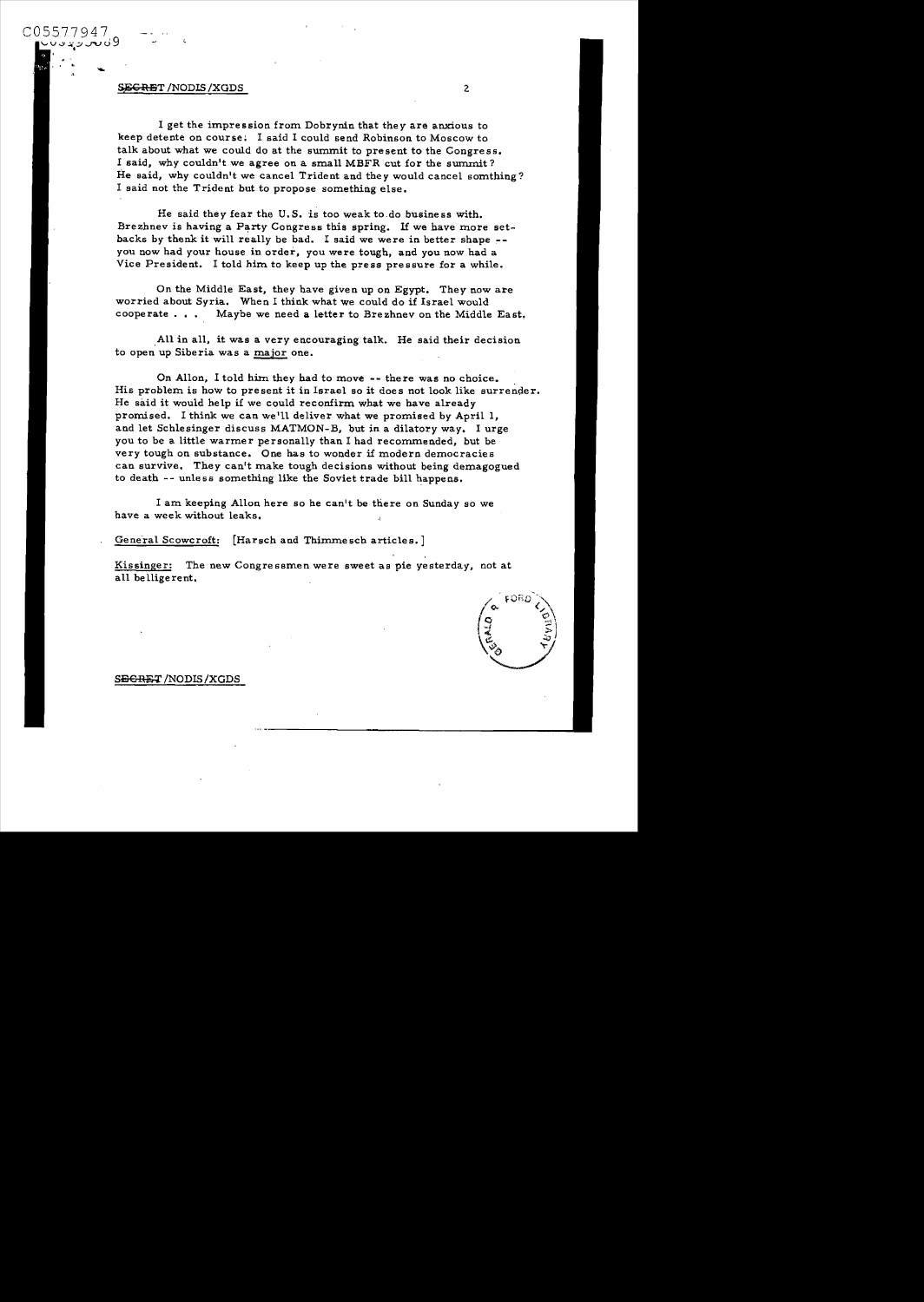C05577947  $\cup$ uvr $\downarrow$ u $\cup$ 9 ະ<br>;<br>, .

> I get the impression from Dobrynin that *they* are anxious to keep detente on course: I said I could send Robinson to Moscow to talk about what we could do at the summit to present to the Congress. I said, why couldn't we agree on a small MBFR cut for the summit? He said, why couldn't we cancel Trident and they would cancel somthing? I said not the Trident but to propose something else.

He said they fear the U.S. is too weak to,do business with. Brezhnev is having a Party Congress this spring. If we have more setbacks by thenk it will really be bad. I said we were in better shape you now had your house in order, you were tough, and you now had a Vice President. I told him to keep up the press pressure for a while.

On the Middle East, they have given up on Egypt. They now are worried about Syria. When I think what we could do if Israel would cooperate. •• Maybe we need a letter to Brezhnev on the Middle East.

All in all, it was a very encouraging talk. He said their decision to open up Siberia was a major one.

On Allon, I told him they had to move -- there was no choice. His problem is how to present it in Israel so it does not look like surrender. He said it would help if we could reconfirm what we have already promised. I think we can we III deliver what we promised by April 1, and let Schlesinger discuss MATMON-B, but in a dilatory way. I urge you to be a little warmer personally than I had recommended, but be very tough on substance. One has to wonder if modern democracies can survive. They can't make tough decisions without being demagogued to death -- unless something like the Soviet trade bill happens.

I am keeping Allon here so he canlt be there on Sunday so we have a week without leaks.

General Scowcroft: [Harsch and Thimmesch articles.]

Kissinger: The new Congre ssmen were sweet as pie yesterday, not at all belligerent.

## S<del>ECRET</del> /NODIS /XGDS